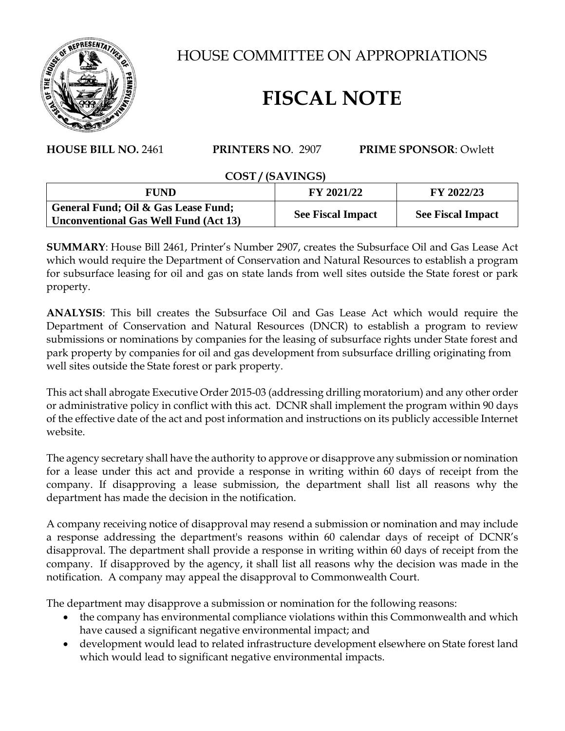

HOUSE COMMITTEE ON APPROPRIATIONS

## **FISCAL NOTE**

## **HOUSE BILL NO.** 2461 **PRINTERS NO**. 2907 **PRIME SPONSOR**: Owlett

## **COST / (SAVINGS)**

| FUND                                         | FY 2021/22               | FY 2022/23               |
|----------------------------------------------|--------------------------|--------------------------|
| General Fund; Oil & Gas Lease Fund;          | <b>See Fiscal Impact</b> | <b>See Fiscal Impact</b> |
| <b>Unconventional Gas Well Fund (Act 13)</b> |                          |                          |

**SUMMARY**: House Bill 2461, Printer's Number 2907, creates the Subsurface Oil and Gas Lease Act which would require the Department of Conservation and Natural Resources to establish a program for subsurface leasing for oil and gas on state lands from well sites outside the State forest or park property.

**ANALYSIS**: This bill creates the Subsurface Oil and Gas Lease Act which would require the Department of Conservation and Natural Resources (DNCR) to establish a program to review submissions or nominations by companies for the leasing of subsurface rights under State forest and park property by companies for oil and gas development from subsurface drilling originating from well sites outside the State forest or park property.

This act shall abrogate Executive Order 2015-03 (addressing drilling moratorium) and any other order or administrative policy in conflict with this act. DCNR shall implement the program within 90 days of the effective date of the act and post information and instructions on its publicly accessible Internet website.

The agency secretary shall have the authority to approve or disapprove any submission or nomination for a lease under this act and provide a response in writing within 60 days of receipt from the company. If disapproving a lease submission, the department shall list all reasons why the department has made the decision in the notification.

A company receiving notice of disapproval may resend a submission or nomination and may include a response addressing the department's reasons within 60 calendar days of receipt of DCNR's disapproval. The department shall provide a response in writing within 60 days of receipt from the company. If disapproved by the agency, it shall list all reasons why the decision was made in the notification. A company may appeal the disapproval to Commonwealth Court.

The department may disapprove a submission or nomination for the following reasons:

- the company has environmental compliance violations within this Commonwealth and which have caused a significant negative environmental impact; and
- development would lead to related infrastructure development elsewhere on State forest land which would lead to significant negative environmental impacts.